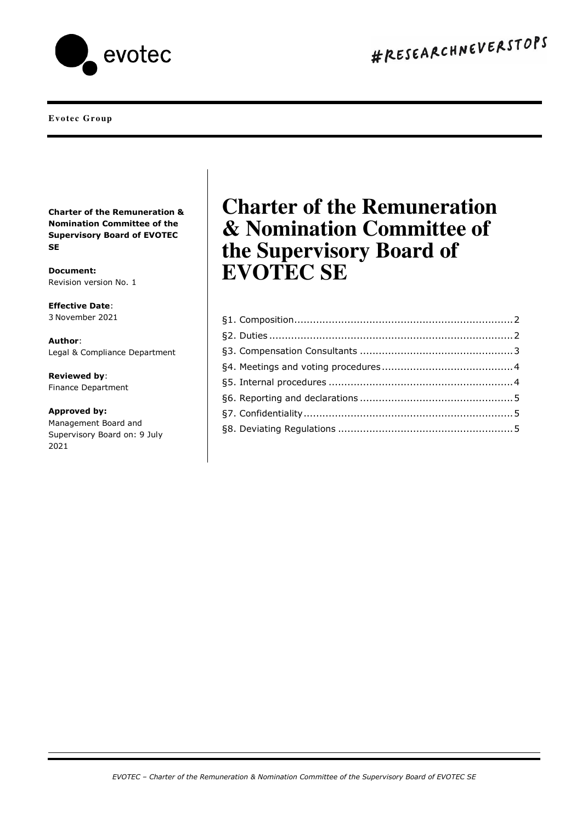

#### **Evotec Group**

**Charter of the Remuneration & Nomination Committee of the Supervisory Board of EVOTEC SE**

**Document:**  Revision version No. 1

**Effective Date**: 3 November 2021

**Author**: Legal & Compliance Department

**Reviewed by**: Finance Department

**Approved by:**  Management Board and Supervisory Board on: 9 July 2021

# **Charter of the Remuneration & Nomination Committee of the Supervisory Board of EVOTEC SE**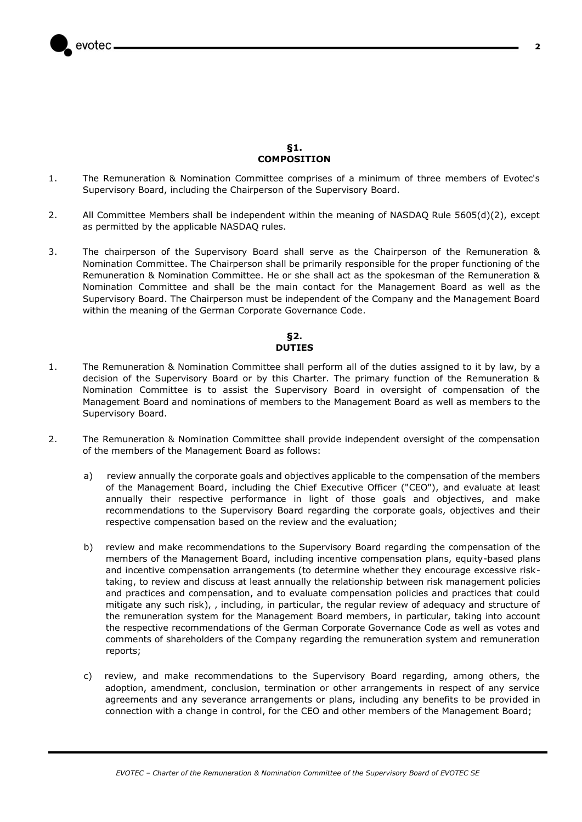

## **§1. COMPOSITION**

- <span id="page-1-0"></span>1. The Remuneration & Nomination Committee comprises of a minimum of three members of Evotec's Supervisory Board, including the Chairperson of the Supervisory Board.
- 2. All Committee Members shall be independent within the meaning of NASDAQ Rule 5605(d)(2), except as permitted by the applicable NASDAQ rules.
- 3. The chairperson of the Supervisory Board shall serve as the Chairperson of the Remuneration & Nomination Committee. The Chairperson shall be primarily responsible for the proper functioning of the Remuneration & Nomination Committee. He or she shall act as the spokesman of the Remuneration & Nomination Committee and shall be the main contact for the Management Board as well as the Supervisory Board. The Chairperson must be independent of the Company and the Management Board within the meaning of the German Corporate Governance Code.

# **§2. DUTIES**

- <span id="page-1-1"></span>1. The Remuneration & Nomination Committee shall perform all of the duties assigned to it by law, by a decision of the Supervisory Board or by this Charter. The primary function of the Remuneration & Nomination Committee is to assist the Supervisory Board in oversight of compensation of the Management Board and nominations of members to the Management Board as well as members to the Supervisory Board.
- 2. The Remuneration & Nomination Committee shall provide independent oversight of the compensation of the members of the Management Board as follows:
	- a) review annually the corporate goals and objectives applicable to the compensation of the members of the Management Board, including the Chief Executive Officer ("CEO"), and evaluate at least annually their respective performance in light of those goals and objectives, and make recommendations to the Supervisory Board regarding the corporate goals, objectives and their respective compensation based on the review and the evaluation;
	- b) review and make recommendations to the Supervisory Board regarding the compensation of the members of the Management Board, including incentive compensation plans, equity-based plans and incentive compensation arrangements (to determine whether they encourage excessive risktaking, to review and discuss at least annually the relationship between risk management policies and practices and compensation, and to evaluate compensation policies and practices that could mitigate any such risk), , including, in particular, the regular review of adequacy and structure of the remuneration system for the Management Board members, in particular, taking into account the respective recommendations of the German Corporate Governance Code as well as votes and comments of shareholders of the Company regarding the remuneration system and remuneration reports;
	- c) review, and make recommendations to the Supervisory Board regarding, among others, the adoption, amendment, conclusion, termination or other arrangements in respect of any service agreements and any severance arrangements or plans, including any benefits to be provided in connection with a change in control, for the CEO and other members of the Management Board;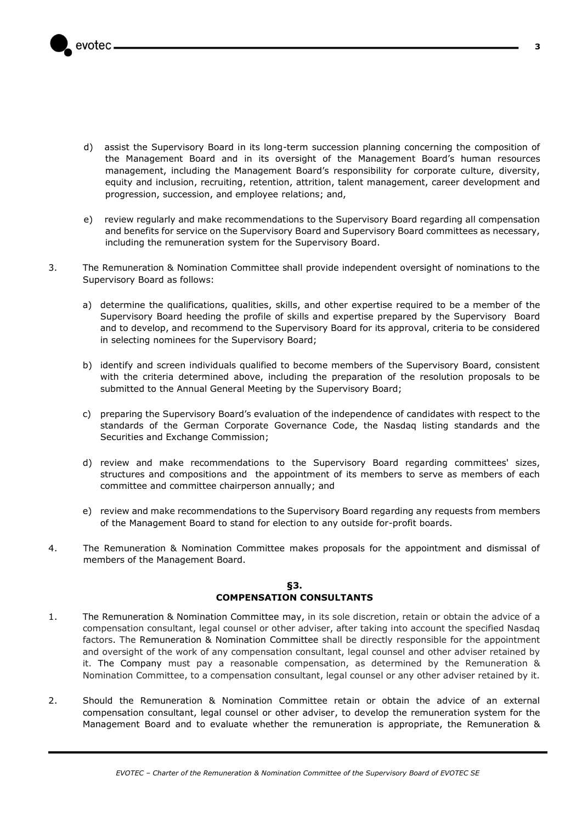

- d) assist the Supervisory Board in its long-term succession planning concerning the composition of the Management Board and in its oversight of the Management Board's human resources management, including the Management Board's responsibility for corporate culture, diversity, equity and inclusion, recruiting, retention, attrition, talent management, career development and progression, succession, and employee relations; and,
- e) review regularly and make recommendations to the Supervisory Board regarding all compensation and benefits for service on the Supervisory Board and Supervisory Board committees as necessary, including the remuneration system for the Supervisory Board.
- 3. The Remuneration & Nomination Committee shall provide independent oversight of nominations to the Supervisory Board as follows:
	- a) determine the qualifications, qualities, skills, and other expertise required to be a member of the Supervisory Board heeding the profile of skills and expertise prepared by the Supervisory Board and to develop, and recommend to the Supervisory Board for its approval, criteria to be considered in selecting nominees for the Supervisory Board;
	- b) identify and screen individuals qualified to become members of the Supervisory Board, consistent with the criteria determined above, including the preparation of the resolution proposals to be submitted to the Annual General Meeting by the Supervisory Board;
	- c) preparing the Supervisory Board's evaluation of the independence of candidates with respect to the standards of the German Corporate Governance Code, the Nasdaq listing standards and the Securities and Exchange Commission;
	- d) review and make recommendations to the Supervisory Board regarding committees' sizes, structures and compositions and the appointment of its members to serve as members of each committee and committee chairperson annually; and
	- e) review and make recommendations to the Supervisory Board regarding any requests from members of the Management Board to stand for election to any outside for-profit boards.
- 4. The Remuneration & Nomination Committee makes proposals for the appointment and dismissal of members of the Management Board.

## **§3. COMPENSATION CONSULTANTS**

- <span id="page-2-0"></span>1. The Remuneration & Nomination Committee may, in its sole discretion, retain or obtain the advice of a compensation consultant, legal counsel or other adviser, after taking into account the specified Nasdaq factors. The Remuneration & Nomination Committee shall be directly responsible for the appointment and oversight of the work of any compensation consultant, legal counsel and other adviser retained by it. The Company must pay a reasonable compensation, as determined by the Remuneration & Nomination Committee, to a compensation consultant, legal counsel or any other adviser retained by it.
- 2. Should the Remuneration & Nomination Committee retain or obtain the advice of an external compensation consultant, legal counsel or other adviser, to develop the remuneration system for the Management Board and to evaluate whether the remuneration is appropriate, the Remuneration &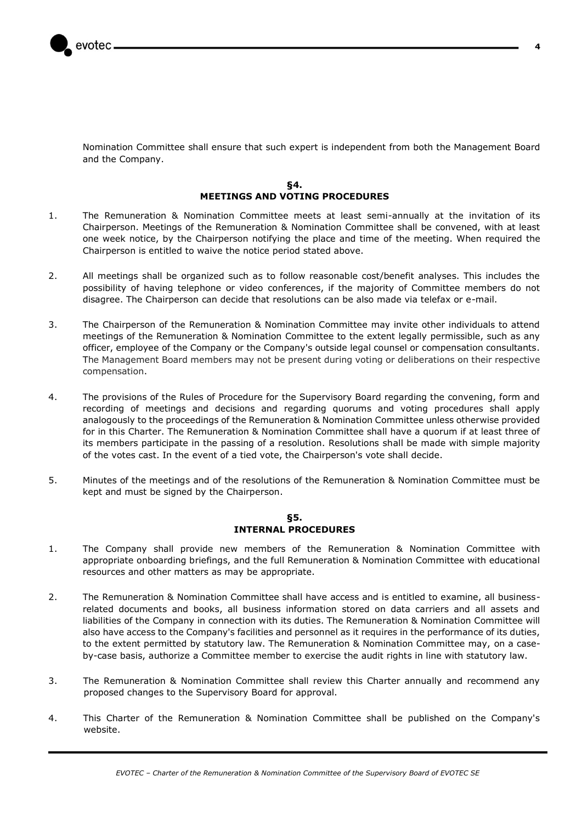Nomination Committee shall ensure that such expert is independent from both the Management Board and the Company.

#### **§4. MEETINGS AND VOTING PROCEDURES**

- <span id="page-3-0"></span>1. The Remuneration & Nomination Committee meets at least semi-annually at the invitation of its Chairperson. Meetings of the Remuneration & Nomination Committee shall be convened, with at least one week notice, by the Chairperson notifying the place and time of the meeting. When required the Chairperson is entitled to waive the notice period stated above.
- 2. All meetings shall be organized such as to follow reasonable cost/benefit analyses. This includes the possibility of having telephone or video conferences, if the majority of Committee members do not disagree. The Chairperson can decide that resolutions can be also made via telefax or e-mail.
- 3. The Chairperson of the Remuneration & Nomination Committee may invite other individuals to attend meetings of the Remuneration & Nomination Committee to the extent legally permissible, such as any officer, employee of the Company or the Company's outside legal counsel or compensation consultants. The Management Board members may not be present during voting or deliberations on their respective compensation.
- 4. The provisions of the Rules of Procedure for the Supervisory Board regarding the convening, form and recording of meetings and decisions and regarding quorums and voting procedures shall apply analogously to the proceedings of the Remuneration & Nomination Committee unless otherwise provided for in this Charter. The Remuneration & Nomination Committee shall have a quorum if at least three of its members participate in the passing of a resolution. Resolutions shall be made with simple majority of the votes cast. In the event of a tied vote, the Chairperson's vote shall decide.
- 5. Minutes of the meetings and of the resolutions of the Remuneration & Nomination Committee must be kept and must be signed by the Chairperson.

# **§5. INTERNAL PROCEDURES**

- <span id="page-3-1"></span>1. The Company shall provide new members of the Remuneration & Nomination Committee with appropriate onboarding briefings, and the full Remuneration & Nomination Committee with educational resources and other matters as may be appropriate.
- 2. The Remuneration & Nomination Committee shall have access and is entitled to examine, all businessrelated documents and books, all business information stored on data carriers and all assets and liabilities of the Company in connection with its duties. The Remuneration & Nomination Committee will also have access to the Company's facilities and personnel as it requires in the performance of its duties, to the extent permitted by statutory law. The Remuneration & Nomination Committee may, on a caseby-case basis, authorize a Committee member to exercise the audit rights in line with statutory law.
- 3. The Remuneration & Nomination Committee shall review this Charter annually and recommend any proposed changes to the Supervisory Board for approval.
- 4. This Charter of the Remuneration & Nomination Committee shall be published on the Company's website.